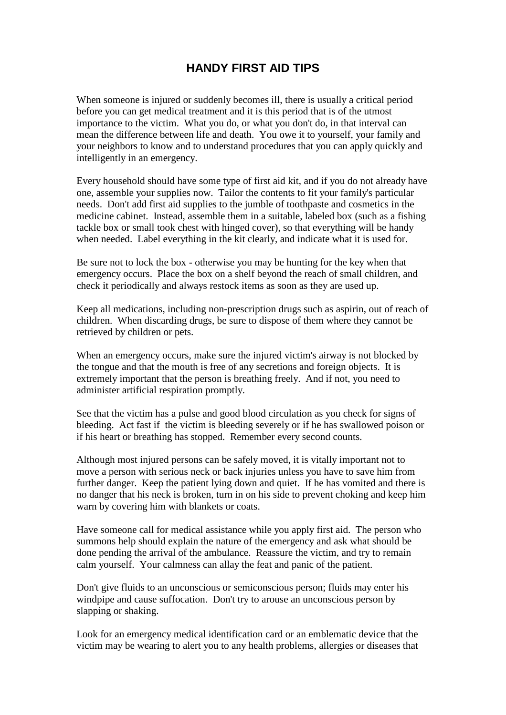## **HANDY FIRST AID TIPS**

When someone is injured or suddenly becomes ill, there is usually a critical period before you can get medical treatment and it is this period that is of the utmost importance to the victim. What you do, or what you don't do, in that interval can mean the difference between life and death. You owe it to yourself, your family and your neighbors to know and to understand procedures that you can apply quickly and intelligently in an emergency.

Every household should have some type of first aid kit, and if you do not already have one, assemble your supplies now. Tailor the contents to fit your family's particular needs. Don't add first aid supplies to the jumble of toothpaste and cosmetics in the medicine cabinet. Instead, assemble them in a suitable, labeled box (such as a fishing tackle box or small took chest with hinged cover), so that everything will be handy when needed. Label everything in the kit clearly, and indicate what it is used for.

Be sure not to lock the box - otherwise you may be hunting for the key when that emergency occurs. Place the box on a shelf beyond the reach of small children, and check it periodically and always restock items as soon as they are used up.

Keep all medications, including non-prescription drugs such as aspirin, out of reach of children. When discarding drugs, be sure to dispose of them where they cannot be retrieved by children or pets.

When an emergency occurs, make sure the injured victim's airway is not blocked by the tongue and that the mouth is free of any secretions and foreign objects. It is extremely important that the person is breathing freely. And if not, you need to administer artificial respiration promptly.

See that the victim has a pulse and good blood circulation as you check for signs of bleeding. Act fast if the victim is bleeding severely or if he has swallowed poison or if his heart or breathing has stopped. Remember every second counts.

Although most injured persons can be safely moved, it is vitally important not to move a person with serious neck or back injuries unless you have to save him from further danger. Keep the patient lying down and quiet. If he has vomited and there is no danger that his neck is broken, turn in on his side to prevent choking and keep him warn by covering him with blankets or coats.

Have someone call for medical assistance while you apply first aid. The person who summons help should explain the nature of the emergency and ask what should be done pending the arrival of the ambulance. Reassure the victim, and try to remain calm yourself. Your calmness can allay the feat and panic of the patient.

Don't give fluids to an unconscious or semiconscious person; fluids may enter his windpipe and cause suffocation. Don't try to arouse an unconscious person by slapping or shaking.

Look for an emergency medical identification card or an emblematic device that the victim may be wearing to alert you to any health problems, allergies or diseases that